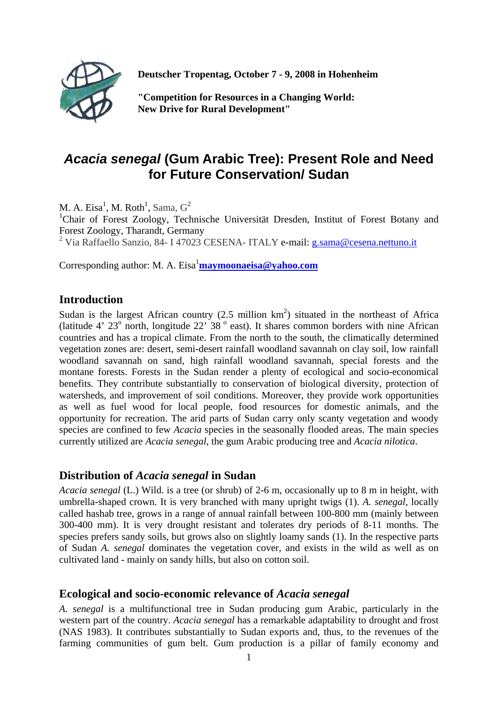

**Deutscher Tropentag, October 7 - 9, 2008 in Hohenheim** 

**"Competition for Resources in a Changing World: New Drive for Rural Development"** 

# *Acacia senegal* **(Gum Arabic Tree): Present Role and Need for Future Conservation/ Sudan**

M. A. Eisa<sup>1</sup>, M. Roth<sup>1</sup>, Sama,  $G^2$ <br><sup>1</sup>Chair, of Forest Zoology, Tech Chair of Forest Zoology, Technische Universität Dresden, Institut of Forest Botany and Forest Zoology, Tharandt, Germany <sup>2</sup> Via Raffaello Sanzio, 84- I 47023 CESENA- ITALY e-mail: g.sama@cesena.nettuno.it

Corresponding author: M. A. Eisa<sup>1</sup>maymoonaeisa@yahoo.com

# **Introduction**

Sudan is the largest African country  $(2.5 \text{ million km}^2)$  situated in the northeast of Africa (latitude 4'  $23^{\circ}$  north, longitude  $22^{\circ}$  38<sup>°</sup> east). It shares common borders with nine African countries and has a tropical climate. From the north to the south, the climatically determined vegetation zones are: desert, semi-desert rainfall woodland savannah on clay soil, low rainfall woodland savannah on sand, high rainfall woodland savannah, special forests and the montane forests. Forests in the Sudan render a plenty of ecological and socio-economical benefits. They contribute substantially to conservation of biological diversity, protection of watersheds, and improvement of soil conditions. Moreover, they provide work opportunities as well as fuel wood for local people, food resources for domestic animals, and the opportunity for recreation. The arid parts of Sudan carry only scanty vegetation and woody species are confined to few *Acacia* species in the seasonally flooded areas. The main species currently utilized are *Acacia senegal*, the gum Arabic producing tree and *Acacia nilotica*.

## **Distribution of** *Acacia senegal* **in Sudan**

*Acacia senegal* (L.) Wild. is a tree (or shrub) of 2-6 m, occasionally up to 8 m in height, with umbrella-shaped crown. It is very branched with many upright twigs (1). *A. senegal*, locally called hashab tree, grows in a range of annual rainfall between 100-800 mm (mainly between 300-400 mm). It is very drought resistant and tolerates dry periods of 8-11 months. The species prefers sandy soils, but grows also on slightly loamy sands (1). In the respective parts of Sudan *A. senegal* dominates the vegetation cover, and exists in the wild as well as on cultivated land - mainly on sandy hills, but also on cotton soil.

# **Ecological and socio-economic relevance of** *Acacia senegal*

*A. senegal* is a multifunctional tree in Sudan producing gum Arabic, particularly in the western part of the country. *Acacia senegal* has a remarkable adaptability to drought and frost (NAS 1983). It contributes substantially to Sudan exports and, thus, to the revenues of the farming communities of gum belt. Gum production is a pillar of family economy and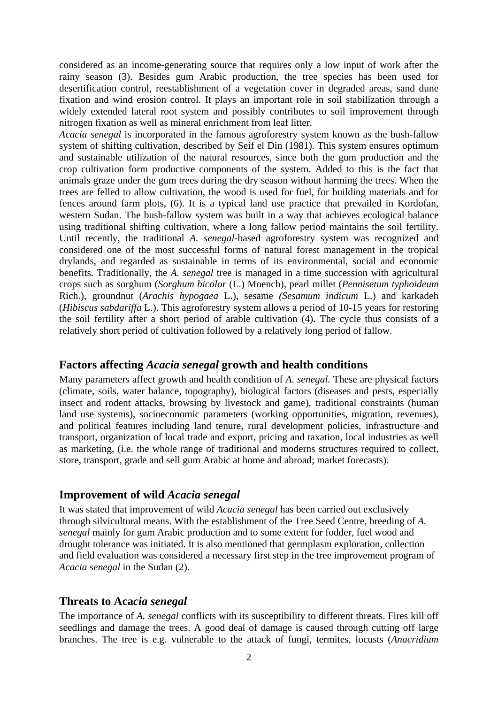considered as an income-generating source that requires only a low input of work after the rainy season (3). Besides gum Arabic production, the tree species has been used for desertification control, reestablishment of a vegetation cover in degraded areas, sand dune fixation and wind erosion control. It plays an important role in soil stabilization through a widely extended lateral root system and possibly contributes to soil improvement through nitrogen fixation as well as mineral enrichment from leaf litter.

*Acacia senegal* is incorporated in the famous agroforestry system known as the bush-fallow system of shifting cultivation, described by Seif el Din (1981). This system ensures optimum and sustainable utilization of the natural resources, since both the gum production and the crop cultivation form productive components of the system. Added to this is the fact that animals graze under the gum trees during the dry season without harming the trees. When the trees are felled to allow cultivation, the wood is used for fuel, for building materials and for fences around farm plots, (6). It is a typical land use practice that prevailed in Kordofan, western Sudan. The bush-fallow system was built in a way that achieves ecological balance using traditional shifting cultivation, where a long fallow period maintains the soil fertility. Until recently, the traditional *A. senegal*-based agroforestry system was recognized and considered one of the most successful forms of natural forest management in the tropical drylands, and regarded as sustainable in terms of its environmental, social and economic benefits. Traditionally, the *A. senegal* tree is managed in a time succession with agricultural crops such as sorghum (*Sorghum bicolor* (L.) Moench), pearl millet (*Pennisetum typhoideum*  Rich.), groundnut (*Arachis hypogaea* L.), sesame *(Sesamum indicum* L.) and karkadeh (*Hibiscus sabdariffa* L.). This agroforestry system allows a period of 10-15 years for restoring the soil fertility after a short period of arable cultivation (4). The cycle thus consists of a relatively short period of cultivation followed by a relatively long period of fallow.

#### **Factors affecting** *Acacia senegal* **growth and health conditions**

Many parameters affect growth and health condition of *A. senegal.* These are physical factors (climate, soils, water balance, topography), biological factors (diseases and pests, especially insect and rodent attacks, browsing by livestock and game), traditional constraints (human land use systems), socioeconomic parameters (working opportunities, migration, revenues), and political features including land tenure, rural development policies, infrastructure and transport, organization of local trade and export, pricing and taxation, local industries as well as marketing, (i.e. the whole range of traditional and moderns structures required to collect, store, transport, grade and sell gum Arabic at home and abroad; market forecasts).

## **Improvement of wild** *Acacia senegal*

It was stated that improvement of wild *Acacia senegal* has been carried out exclusively through silvicultural means. With the establishment of the Tree Seed Centre, breeding of *A. senegal* mainly for gum Arabic production and to some extent for fodder, fuel wood and drought tolerance was initiated. It is also mentioned that germplasm exploration, collection and field evaluation was considered a necessary first step in the tree improvement program of *Acacia senegal* in the Sudan (2).

#### **Threats to Aca***cia senegal*

The importance of *A. senegal* conflicts with its susceptibility to different threats. Fires kill off seedlings and damage the trees. A good deal of damage is caused through cutting off large branches. The tree is e.g. vulnerable to the attack of fungi, termites, locusts (*Anacridium*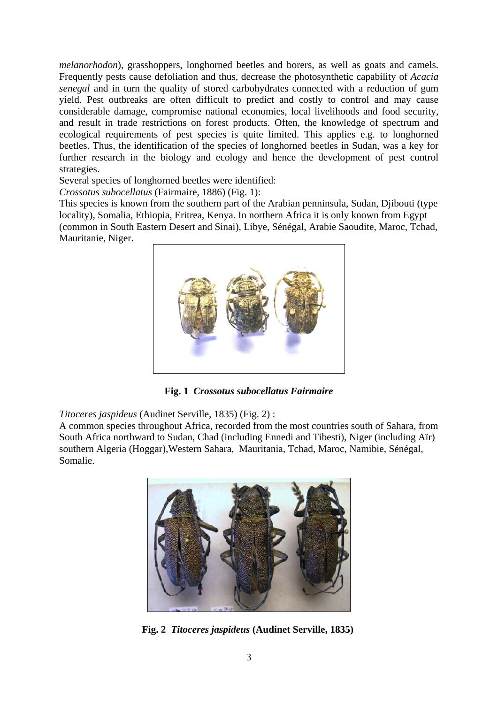*melanorhodon*), grasshoppers, longhorned beetles and borers, as well as goats and camels. Frequently pests cause defoliation and thus, decrease the photosynthetic capability of *Acacia senegal* and in turn the quality of stored carbohydrates connected with a reduction of gum yield. Pest outbreaks are often difficult to predict and costly to control and may cause considerable damage, compromise national economies, local livelihoods and food security, and result in trade restrictions on forest products. Often, the knowledge of spectrum and ecological requirements of pest species is quite limited. This applies e.g. to longhorned beetles. Thus, the identification of the species of longhorned beetles in Sudan, was a key for further research in the biology and ecology and hence the development of pest control strategies.

Several species of longhorned beetles were identified:

*Crossotus subocellatus* (Fairmaire, 1886) (Fig. 1):

This species is known from the southern part of the Arabian penninsula, Sudan, Djibouti (type locality), Somalia, Ethiopia, Eritrea, Kenya. In northern Africa it is only known from Egypt (common in South Eastern Desert and Sinai), Libye, Sénégal, Arabie Saoudite, Maroc, Tchad, Mauritanie, Niger.



 **Fig. 1** *Crossotus subocellatus Fairmaire* 

*Titoceres jaspideus* (Audinet Serville, 1835) (Fig. 2) :

A common species throughout Africa, recorded from the most countries south of Sahara, from South Africa northward to Sudan, Chad (including Ennedi and Tibesti), Niger (including Aïr) southern Algeria (Hoggar),Western Sahara, Mauritania, Tchad, Maroc, Namibie, Sénégal, Somalie.



 **Fig. 2** *Titoceres jaspideus* **(Audinet Serville, 1835)**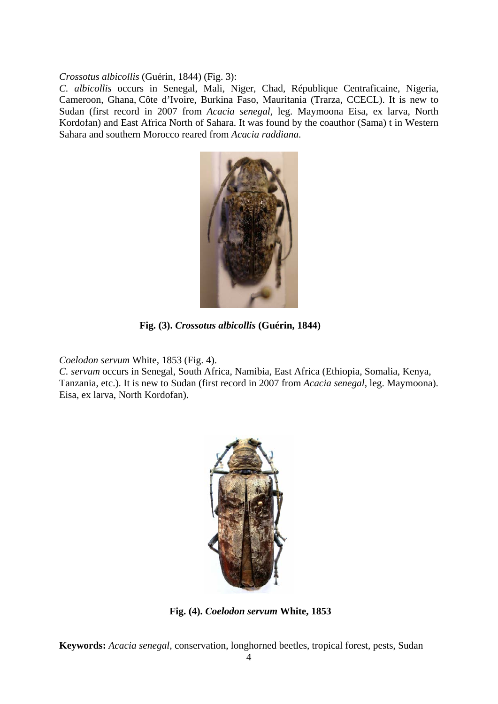*Crossotus albicollis* (Guérin, 1844) (Fig. 3):

*C. albicollis* occurs in Senegal, Mali, Niger, Chad, République Centraficaine, Nigeria, Cameroon, Ghana, Côte d'Ivoire, Burkina Faso, Mauritania (Trarza, CCECL). It is new to Sudan (first record in 2007 from *Acacia senegal*, leg. Maymoona Eisa, ex larva, North Kordofan) and East Africa North of Sahara. It was found by the coauthor (Sama) t in Western Sahara and southern Morocco reared from *Acacia raddiana*.



 **Fig. (3).** *Crossotus albicollis* **(Guérin, 1844)**

*Coelodon servum* White, 1853 (Fig. 4).

*C. servum* occurs in Senegal, South Africa, Namibia, East Africa (Ethiopia, Somalia, Kenya, Tanzania, etc.). It is new to Sudan (first record in 2007 from *Acacia senegal*, leg. Maymoona). Eisa, ex larva, North Kordofan).



 **Fig. (4).** *Coelodon servum* **White, 1853** 

**Keywords:** *Acacia senegal,* conservation, longhorned beetles, tropical forest, pests, Sudan